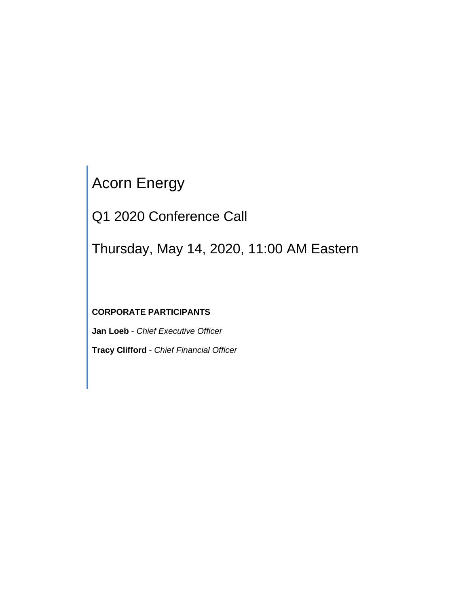# Acorn Energy

Q1 2020 Conference Call

Thursday, May 14, 2020, 11:00 AM Eastern

## **CORPORATE PARTICIPANTS**

**Jan Loeb** - *Chief Executive Officer* **Tracy Clifford** - *Chief Financial Officer*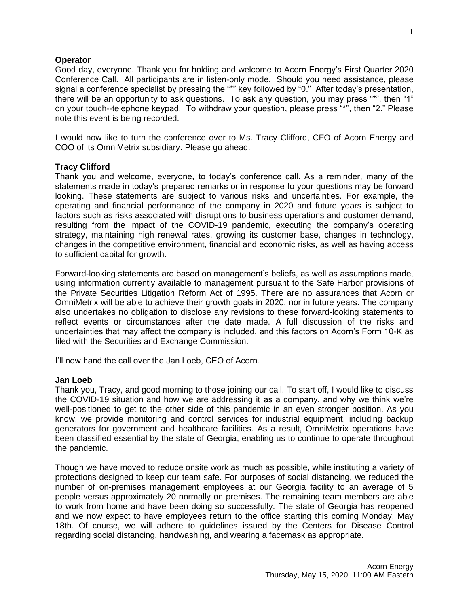### **Operator**

Good day, everyone. Thank you for holding and welcome to Acorn Energy's First Quarter 2020 Conference Call. All participants are in listen-only mode. Should you need assistance, please signal a conference specialist by pressing the "\*" key followed by "0." After today's presentation, there will be an opportunity to ask questions. To ask any question, you may press "\*", then "1" on your touch--telephone keypad. To withdraw your question, please press "\*", then "2." Please note this event is being recorded.

I would now like to turn the conference over to Ms. Tracy Clifford, CFO of Acorn Energy and COO of its OmniMetrix subsidiary. Please go ahead.

## **Tracy Clifford**

Thank you and welcome, everyone, to today's conference call. As a reminder, many of the statements made in today's prepared remarks or in response to your questions may be forward looking. These statements are subject to various risks and uncertainties. For example, the operating and financial performance of the company in 2020 and future years is subject to factors such as risks associated with disruptions to business operations and customer demand, resulting from the impact of the COVID-19 pandemic, executing the company's operating strategy, maintaining high renewal rates, growing its customer base, changes in technology, changes in the competitive environment, financial and economic risks, as well as having access to sufficient capital for growth.

Forward-looking statements are based on management's beliefs, as well as assumptions made, using information currently available to management pursuant to the Safe Harbor provisions of the Private Securities Litigation Reform Act of 1995. There are no assurances that Acorn or OmniMetrix will be able to achieve their growth goals in 2020, nor in future years. The company also undertakes no obligation to disclose any revisions to these forward-looking statements to reflect events or circumstances after the date made. A full discussion of the risks and uncertainties that may affect the company is included, and this factors on Acorn's Form 10-K as filed with the Securities and Exchange Commission.

I'll now hand the call over the Jan Loeb, CEO of Acorn.

#### **Jan Loeb**

Thank you, Tracy, and good morning to those joining our call. To start off, I would like to discuss the COVID-19 situation and how we are addressing it as a company, and why we think we're well-positioned to get to the other side of this pandemic in an even stronger position. As you know, we provide monitoring and control services for industrial equipment, including backup generators for government and healthcare facilities. As a result, OmniMetrix operations have been classified essential by the state of Georgia, enabling us to continue to operate throughout the pandemic.

Though we have moved to reduce onsite work as much as possible, while instituting a variety of protections designed to keep our team safe. For purposes of social distancing, we reduced the number of on-premises management employees at our Georgia facility to an average of 5 people versus approximately 20 normally on premises. The remaining team members are able to work from home and have been doing so successfully. The state of Georgia has reopened and we now expect to have employees return to the office starting this coming Monday, May 18th. Of course, we will adhere to guidelines issued by the Centers for Disease Control regarding social distancing, handwashing, and wearing a facemask as appropriate.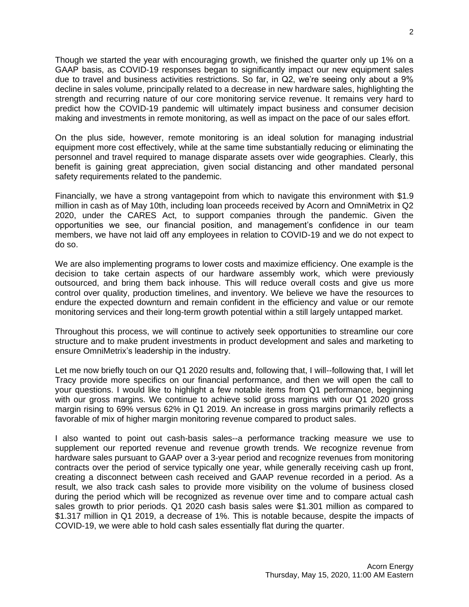Though we started the year with encouraging growth, we finished the quarter only up 1% on a GAAP basis, as COVID-19 responses began to significantly impact our new equipment sales due to travel and business activities restrictions. So far, in Q2, we're seeing only about a 9% decline in sales volume, principally related to a decrease in new hardware sales, highlighting the strength and recurring nature of our core monitoring service revenue. It remains very hard to predict how the COVID-19 pandemic will ultimately impact business and consumer decision making and investments in remote monitoring, as well as impact on the pace of our sales effort.

On the plus side, however, remote monitoring is an ideal solution for managing industrial equipment more cost effectively, while at the same time substantially reducing or eliminating the personnel and travel required to manage disparate assets over wide geographies. Clearly, this benefit is gaining great appreciation, given social distancing and other mandated personal safety requirements related to the pandemic.

Financially, we have a strong vantagepoint from which to navigate this environment with \$1.9 million in cash as of May 10th, including loan proceeds received by Acorn and OmniMetrix in Q2 2020, under the CARES Act, to support companies through the pandemic. Given the opportunities we see, our financial position, and management's confidence in our team members, we have not laid off any employees in relation to COVID-19 and we do not expect to do so.

We are also implementing programs to lower costs and maximize efficiency. One example is the decision to take certain aspects of our hardware assembly work, which were previously outsourced, and bring them back inhouse. This will reduce overall costs and give us more control over quality, production timelines, and inventory. We believe we have the resources to endure the expected downturn and remain confident in the efficiency and value or our remote monitoring services and their long-term growth potential within a still largely untapped market.

Throughout this process, we will continue to actively seek opportunities to streamline our core structure and to make prudent investments in product development and sales and marketing to ensure OmniMetrix's leadership in the industry.

Let me now briefly touch on our Q1 2020 results and, following that, I will--following that, I will let Tracy provide more specifics on our financial performance, and then we will open the call to your questions. I would like to highlight a few notable items from Q1 performance, beginning with our gross margins. We continue to achieve solid gross margins with our Q1 2020 gross margin rising to 69% versus 62% in Q1 2019. An increase in gross margins primarily reflects a favorable of mix of higher margin monitoring revenue compared to product sales.

I also wanted to point out cash-basis sales--a performance tracking measure we use to supplement our reported revenue and revenue growth trends. We recognize revenue from hardware sales pursuant to GAAP over a 3-year period and recognize revenues from monitoring contracts over the period of service typically one year, while generally receiving cash up front, creating a disconnect between cash received and GAAP revenue recorded in a period. As a result, we also track cash sales to provide more visibility on the volume of business closed during the period which will be recognized as revenue over time and to compare actual cash sales growth to prior periods. Q1 2020 cash basis sales were \$1.301 million as compared to \$1.317 million in Q1 2019, a decrease of 1%. This is notable because, despite the impacts of COVID-19, we were able to hold cash sales essentially flat during the quarter.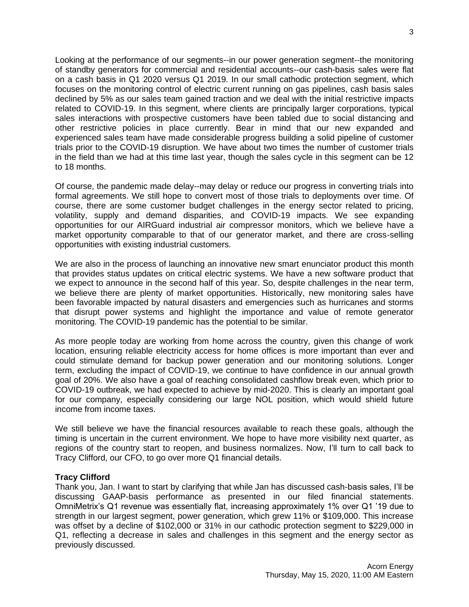Looking at the performance of our segments--in our power generation segment--the monitoring of standby generators for commercial and residential accounts--our cash-basis sales were flat on a cash basis in Q1 2020 versus Q1 2019. In our small cathodic protection segment, which focuses on the monitoring control of electric current running on gas pipelines, cash basis sales declined by 5% as our sales team gained traction and we deal with the initial restrictive impacts related to COVID-19. In this segment, where clients are principally larger corporations, typical sales interactions with prospective customers have been tabled due to social distancing and other restrictive policies in place currently. Bear in mind that our new expanded and experienced sales team have made considerable progress building a solid pipeline of customer trials prior to the COVID-19 disruption. We have about two times the number of customer trials in the field than we had at this time last year, though the sales cycle in this segment can be 12 to 18 months.

Of course, the pandemic made delay--may delay or reduce our progress in converting trials into formal agreements. We still hope to convert most of those trials to deployments over time. Of course, there are some customer budget challenges in the energy sector related to pricing, volatility, supply and demand disparities, and COVID-19 impacts. We see expanding opportunities for our AIRGuard industrial air compressor monitors, which we believe have a market opportunity comparable to that of our generator market, and there are cross-selling opportunities with existing industrial customers.

We are also in the process of launching an innovative new smart enunciator product this month that provides status updates on critical electric systems. We have a new software product that we expect to announce in the second half of this year. So, despite challenges in the near term, we believe there are plenty of market opportunities. Historically, new monitoring sales have been favorable impacted by natural disasters and emergencies such as hurricanes and storms that disrupt power systems and highlight the importance and value of remote generator monitoring. The COVID-19 pandemic has the potential to be similar.

As more people today are working from home across the country, given this change of work location, ensuring reliable electricity access for home offices is more important than ever and could stimulate demand for backup power generation and our monitoring solutions. Longer term, excluding the impact of COVID-19, we continue to have confidence in our annual growth goal of 20%. We also have a goal of reaching consolidated cashflow break even, which prior to COVID-19 outbreak, we had expected to achieve by mid-2020. This is clearly an important goal for our company, especially considering our large NOL position, which would shield future income from income taxes.

We still believe we have the financial resources available to reach these goals, although the timing is uncertain in the current environment. We hope to have more visibility next quarter, as regions of the country start to reopen, and business normalizes. Now, I'll turn to call back to Tracy Clifford, our CFO, to go over more Q1 financial details.

## **Tracy Clifford**

Thank you, Jan. I want to start by clarifying that while Jan has discussed cash-basis sales, I'll be discussing GAAP-basis performance as presented in our filed financial statements. OmniMetrix's Q1 revenue was essentially flat, increasing approximately 1% over Q1 '19 due to strength in our largest segment, power generation, which grew 11% or \$109,000. This increase was offset by a decline of \$102,000 or 31% in our cathodic protection segment to \$229,000 in Q1, reflecting a decrease in sales and challenges in this segment and the energy sector as previously discussed.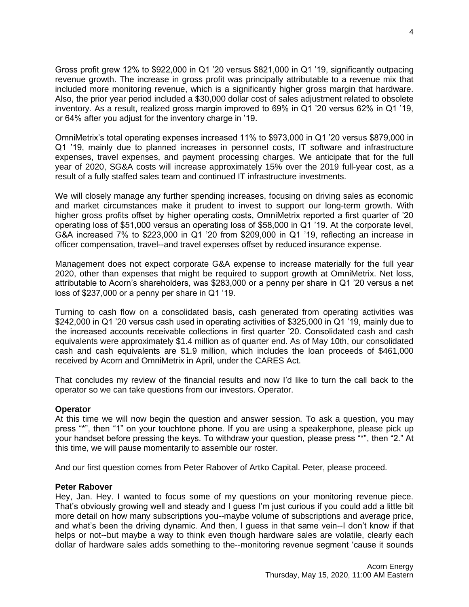Gross profit grew 12% to \$922,000 in Q1 '20 versus \$821,000 in Q1 '19, significantly outpacing revenue growth. The increase in gross profit was principally attributable to a revenue mix that included more monitoring revenue, which is a significantly higher gross margin that hardware. Also, the prior year period included a \$30,000 dollar cost of sales adjustment related to obsolete inventory. As a result, realized gross margin improved to 69% in Q1 '20 versus 62% in Q1 '19, or 64% after you adjust for the inventory charge in '19.

OmniMetrix's total operating expenses increased 11% to \$973,000 in Q1 '20 versus \$879,000 in Q1 '19, mainly due to planned increases in personnel costs, IT software and infrastructure expenses, travel expenses, and payment processing charges. We anticipate that for the full year of 2020, SG&A costs will increase approximately 15% over the 2019 full-year cost, as a result of a fully staffed sales team and continued IT infrastructure investments.

We will closely manage any further spending increases, focusing on driving sales as economic and market circumstances make it prudent to invest to support our long-term growth. With higher gross profits offset by higher operating costs, OmniMetrix reported a first quarter of '20 operating loss of \$51,000 versus an operating loss of \$58,000 in Q1 '19. At the corporate level, G&A increased 7% to \$223,000 in Q1 '20 from \$209,000 in Q1 '19, reflecting an increase in officer compensation, travel--and travel expenses offset by reduced insurance expense.

Management does not expect corporate G&A expense to increase materially for the full year 2020, other than expenses that might be required to support growth at OmniMetrix. Net loss, attributable to Acorn's shareholders, was \$283,000 or a penny per share in Q1 '20 versus a net loss of \$237,000 or a penny per share in Q1 '19.

Turning to cash flow on a consolidated basis, cash generated from operating activities was \$242,000 in Q1 '20 versus cash used in operating activities of \$325,000 in Q1 '19, mainly due to the increased accounts receivable collections in first quarter '20. Consolidated cash and cash equivalents were approximately \$1.4 million as of quarter end. As of May 10th, our consolidated cash and cash equivalents are \$1.9 million, which includes the loan proceeds of \$461,000 received by Acorn and OmniMetrix in April, under the CARES Act.

That concludes my review of the financial results and now I'd like to turn the call back to the operator so we can take questions from our investors. Operator.

## **Operator**

At this time we will now begin the question and answer session. To ask a question, you may press "\*", then "1" on your touchtone phone. If you are using a speakerphone, please pick up your handset before pressing the keys. To withdraw your question, please press "\*", then "2." At this time, we will pause momentarily to assemble our roster.

And our first question comes from Peter Rabover of Artko Capital. Peter, please proceed.

#### **Peter Rabover**

Hey, Jan. Hey. I wanted to focus some of my questions on your monitoring revenue piece. That's obviously growing well and steady and I guess I'm just curious if you could add a little bit more detail on how many subscriptions you--maybe volume of subscriptions and average price, and what's been the driving dynamic. And then, I guess in that same vein--I don't know if that helps or not--but maybe a way to think even though hardware sales are volatile, clearly each dollar of hardware sales adds something to the--monitoring revenue segment 'cause it sounds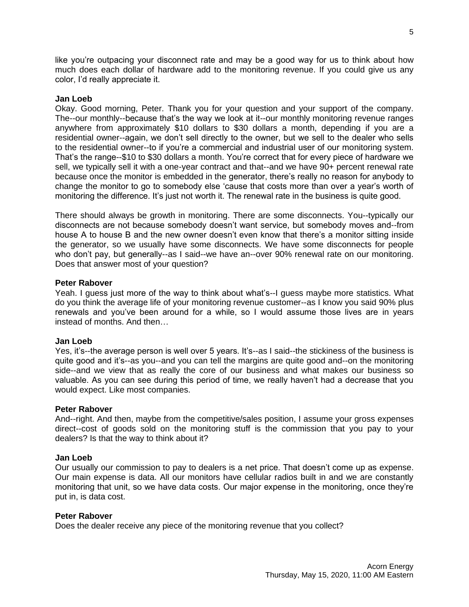like you're outpacing your disconnect rate and may be a good way for us to think about how much does each dollar of hardware add to the monitoring revenue. If you could give us any color, I'd really appreciate it.

#### **Jan Loeb**

Okay. Good morning, Peter. Thank you for your question and your support of the company. The--our monthly--because that's the way we look at it--our monthly monitoring revenue ranges anywhere from approximately \$10 dollars to \$30 dollars a month, depending if you are a residential owner--again, we don't sell directly to the owner, but we sell to the dealer who sells to the residential owner--to if you're a commercial and industrial user of our monitoring system. That's the range--\$10 to \$30 dollars a month. You're correct that for every piece of hardware we sell, we typically sell it with a one-year contract and that--and we have 90+ percent renewal rate because once the monitor is embedded in the generator, there's really no reason for anybody to change the monitor to go to somebody else 'cause that costs more than over a year's worth of monitoring the difference. It's just not worth it. The renewal rate in the business is quite good.

There should always be growth in monitoring. There are some disconnects. You--typically our disconnects are not because somebody doesn't want service, but somebody moves and--from house A to house B and the new owner doesn't even know that there's a monitor sitting inside the generator, so we usually have some disconnects. We have some disconnects for people who don't pay, but generally--as I said--we have an--over 90% renewal rate on our monitoring. Does that answer most of your question?

#### **Peter Rabover**

Yeah. I guess just more of the way to think about what's--I guess maybe more statistics. What do you think the average life of your monitoring revenue customer--as I know you said 90% plus renewals and you've been around for a while, so I would assume those lives are in years instead of months. And then…

#### **Jan Loeb**

Yes, it's--the average person is well over 5 years. It's--as I said--the stickiness of the business is quite good and it's--as you--and you can tell the margins are quite good and--on the monitoring side--and we view that as really the core of our business and what makes our business so valuable. As you can see during this period of time, we really haven't had a decrease that you would expect. Like most companies.

#### **Peter Rabover**

And--right. And then, maybe from the competitive/sales position, I assume your gross expenses direct--cost of goods sold on the monitoring stuff is the commission that you pay to your dealers? Is that the way to think about it?

#### **Jan Loeb**

Our usually our commission to pay to dealers is a net price. That doesn't come up as expense. Our main expense is data. All our monitors have cellular radios built in and we are constantly monitoring that unit, so we have data costs. Our major expense in the monitoring, once they're put in, is data cost.

#### **Peter Rabover**

Does the dealer receive any piece of the monitoring revenue that you collect?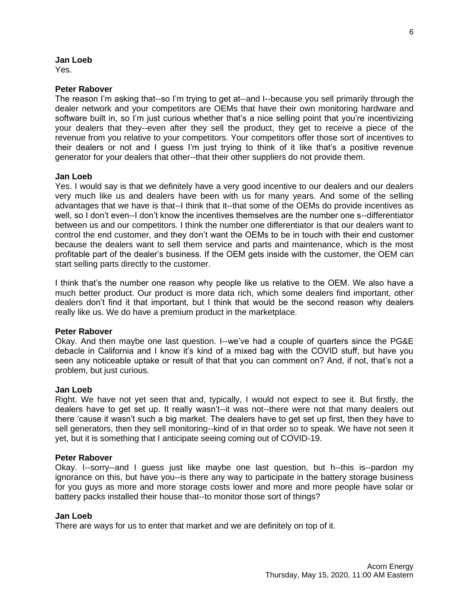#### **Jan Loeb**

Yes.

#### **Peter Rabover**

The reason I'm asking that--so I'm trying to get at--and I--because you sell primarily through the dealer network and your competitors are OEMs that have their own monitoring hardware and software built in, so I'm just curious whether that's a nice selling point that you're incentivizing your dealers that they--even after they sell the product, they get to receive a piece of the revenue from you relative to your competitors. Your competitors offer those sort of incentives to their dealers or not and I guess I'm just trying to think of it like that's a positive revenue generator for your dealers that other--that their other suppliers do not provide them.

#### **Jan Loeb**

Yes. I would say is that we definitely have a very good incentive to our dealers and our dealers very much like us and dealers have been with us for many years. And some of the selling advantages that we have is that--I think that it--that some of the OEMs do provide incentives as well, so I don't even--I don't know the incentives themselves are the number one s--differentiator between us and our competitors. I think the number one differentiator is that our dealers want to control the end customer, and they don't want the OEMs to be in touch with their end customer because the dealers want to sell them service and parts and maintenance, which is the most profitable part of the dealer's business. If the OEM gets inside with the customer, the OEM can start selling parts directly to the customer.

I think that's the number one reason why people like us relative to the OEM. We also have a much better product. Our product is more data rich, which some dealers find important, other dealers don't find it that important, but I think that would be the second reason why dealers really like us. We do have a premium product in the marketplace.

#### **Peter Rabover**

Okay. And then maybe one last question. I--we've had a couple of quarters since the PG&E debacle in California and I know it's kind of a mixed bag with the COVID stuff, but have you seen any noticeable uptake or result of that that you can comment on? And, if not, that's not a problem, but just curious.

#### **Jan Loeb**

Right. We have not yet seen that and, typically, I would not expect to see it. But firstly, the dealers have to get set up. It really wasn't--it was not--there were not that many dealers out there 'cause it wasn't such a big market. The dealers have to get set up first, then they have to sell generators, then they sell monitoring--kind of in that order so to speak. We have not seen it yet, but it is something that I anticipate seeing coming out of COVID-19.

#### **Peter Rabover**

Okay. I--sorry--and I guess just like maybe one last question, but h--this is--pardon my ignorance on this, but have you--is there any way to participate in the battery storage business for you guys as more and more storage costs lower and more and more people have solar or battery packs installed their house that--to monitor those sort of things?

#### **Jan Loeb**

There are ways for us to enter that market and we are definitely on top of it.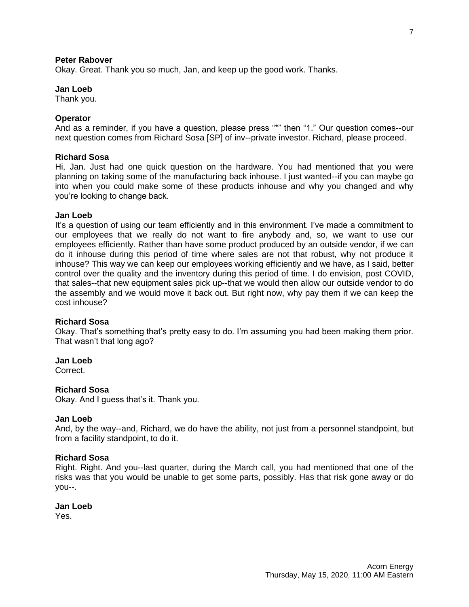#### **Peter Rabover**

Okay. Great. Thank you so much, Jan, and keep up the good work. Thanks.

#### **Jan Loeb**

Thank you.

#### **Operator**

And as a reminder, if you have a question, please press "\*" then "1." Our question comes--our next question comes from Richard Sosa [SP] of inv--private investor. Richard, please proceed.

#### **Richard Sosa**

Hi, Jan. Just had one quick question on the hardware. You had mentioned that you were planning on taking some of the manufacturing back inhouse. I just wanted--if you can maybe go into when you could make some of these products inhouse and why you changed and why you're looking to change back.

#### **Jan Loeb**

It's a question of using our team efficiently and in this environment. I've made a commitment to our employees that we really do not want to fire anybody and, so, we want to use our employees efficiently. Rather than have some product produced by an outside vendor, if we can do it inhouse during this period of time where sales are not that robust, why not produce it inhouse? This way we can keep our employees working efficiently and we have, as I said, better control over the quality and the inventory during this period of time. I do envision, post COVID, that sales--that new equipment sales pick up--that we would then allow our outside vendor to do the assembly and we would move it back out. But right now, why pay them if we can keep the cost inhouse?

#### **Richard Sosa**

Okay. That's something that's pretty easy to do. I'm assuming you had been making them prior. That wasn't that long ago?

#### **Jan Loeb**

Correct.

#### **Richard Sosa**

Okay. And I guess that's it. Thank you.

#### **Jan Loeb**

And, by the way--and, Richard, we do have the ability, not just from a personnel standpoint, but from a facility standpoint, to do it.

#### **Richard Sosa**

Right. Right. And you--last quarter, during the March call, you had mentioned that one of the risks was that you would be unable to get some parts, possibly. Has that risk gone away or do you--.

#### **Jan Loeb**

Yes.